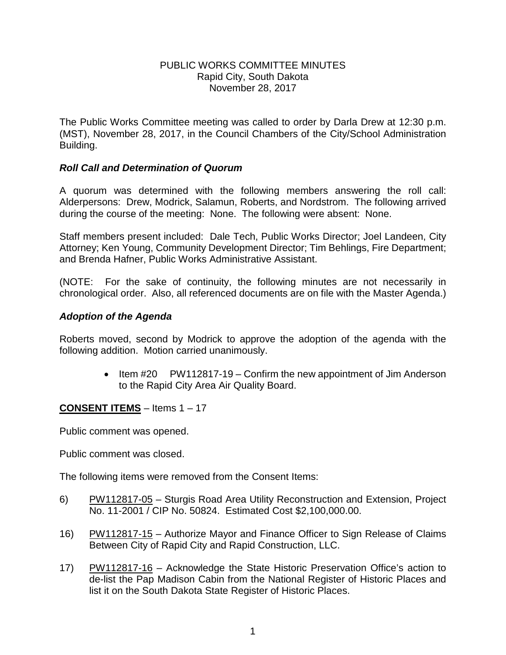### PUBLIC WORKS COMMITTEE MINUTES Rapid City, South Dakota November 28, 2017

The Public Works Committee meeting was called to order by Darla Drew at 12:30 p.m. (MST), November 28, 2017, in the Council Chambers of the City/School Administration Building.

# *Roll Call and Determination of Quorum*

A quorum was determined with the following members answering the roll call: Alderpersons: Drew, Modrick, Salamun, Roberts, and Nordstrom. The following arrived during the course of the meeting: None. The following were absent: None.

Staff members present included: Dale Tech, Public Works Director; Joel Landeen, City Attorney; Ken Young, Community Development Director; Tim Behlings, Fire Department; and Brenda Hafner, Public Works Administrative Assistant.

(NOTE: For the sake of continuity, the following minutes are not necessarily in chronological order. Also, all referenced documents are on file with the Master Agenda.)

# *Adoption of the Agenda*

Roberts moved, second by Modrick to approve the adoption of the agenda with the following addition. Motion carried unanimously.

> • Item #20 PW112817-19 – Confirm the new appointment of Jim Anderson to the Rapid City Area Air Quality Board.

# **CONSENT ITEMS** – Items 1 – 17

Public comment was opened.

Public comment was closed.

The following items were removed from the Consent Items:

- 6) PW112817-05 Sturgis Road Area Utility Reconstruction and Extension, Project No. 11-2001 / CIP No. 50824. Estimated Cost \$2,100,000.00.
- 16) PW112817-15 Authorize Mayor and Finance Officer to Sign Release of Claims Between City of Rapid City and Rapid Construction, LLC.
- 17) PW112817-16 Acknowledge the State Historic Preservation Office's action to de-list the Pap Madison Cabin from the National Register of Historic Places and list it on the South Dakota State Register of Historic Places.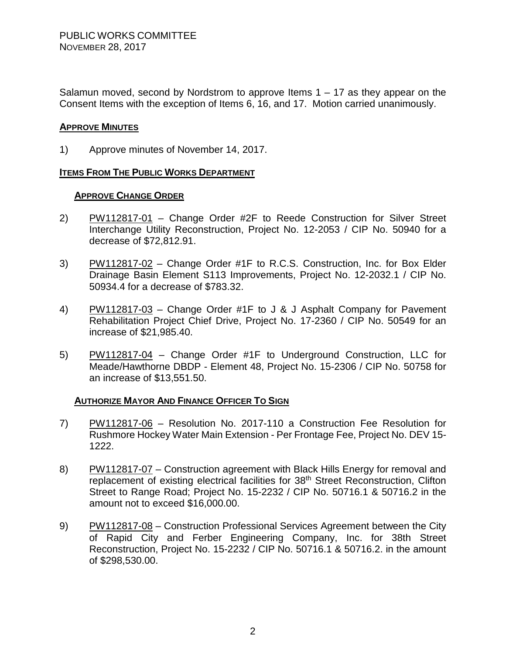Salamun moved, second by Nordstrom to approve Items  $1 - 17$  as they appear on the Consent Items with the exception of Items 6, 16, and 17. Motion carried unanimously.

#### **APPROVE MINUTES**

1) Approve minutes of November 14, 2017.

### **ITEMS FROM THE PUBLIC WORKS DEPARTMENT**

#### **APPROVE CHANGE ORDER**

- 2) PW112817-01 Change Order #2F to Reede Construction for Silver Street Interchange Utility Reconstruction, Project No. 12-2053 / CIP No. 50940 for a decrease of \$72,812.91.
- 3) PW112817-02 Change Order #1F to R.C.S. Construction, Inc. for Box Elder Drainage Basin Element S113 Improvements, Project No. 12-2032.1 / CIP No. 50934.4 for a decrease of \$783.32.
- 4) PW112817-03 Change Order #1F to J & J Asphalt Company for Pavement Rehabilitation Project Chief Drive, Project No. 17-2360 / CIP No. 50549 for an increase of \$21,985.40.
- 5) PW112817-04 Change Order #1F to Underground Construction, LLC for Meade/Hawthorne DBDP - Element 48, Project No. 15-2306 / CIP No. 50758 for an increase of \$13,551.50.

#### **AUTHORIZE MAYOR AND FINANCE OFFICER TO SIGN**

- 7) PW112817-06 Resolution No. 2017-110 a Construction Fee Resolution for Rushmore Hockey Water Main Extension - Per Frontage Fee, Project No. DEV 15- 1222.
- 8) PW112817-07 Construction agreement with Black Hills Energy for removal and replacement of existing electrical facilities for 38<sup>th</sup> Street Reconstruction, Clifton Street to Range Road; Project No. 15-2232 / CIP No. 50716.1 & 50716.2 in the amount not to exceed \$16,000.00.
- 9) PW112817-08 Construction Professional Services Agreement between the City of Rapid City and Ferber Engineering Company, Inc. for 38th Street Reconstruction, Project No. 15-2232 / CIP No. 50716.1 & 50716.2. in the amount of \$298,530.00.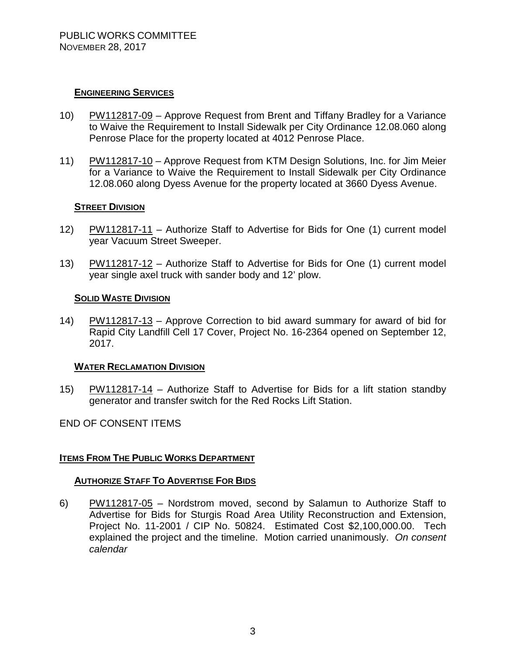### **ENGINEERING SERVICES**

- 10) PW112817-09 Approve Request from Brent and Tiffany Bradley for a Variance to Waive the Requirement to Install Sidewalk per City Ordinance 12.08.060 along Penrose Place for the property located at 4012 Penrose Place.
- 11) PW112817-10 Approve Request from KTM Design Solutions, Inc. for Jim Meier for a Variance to Waive the Requirement to Install Sidewalk per City Ordinance 12.08.060 along Dyess Avenue for the property located at 3660 Dyess Avenue.

### **STREET DIVISION**

- 12) PW112817-11 Authorize Staff to Advertise for Bids for One (1) current model year Vacuum Street Sweeper.
- 13) PW112817-12 Authorize Staff to Advertise for Bids for One (1) current model year single axel truck with sander body and 12' plow.

#### **SOLID WASTE DIVISION**

14) PW112817-13 – Approve Correction to bid award summary for award of bid for Rapid City Landfill Cell 17 Cover, Project No. 16-2364 opened on September 12, 2017.

#### **WATER RECLAMATION DIVISION**

15) PW112817-14 – Authorize Staff to Advertise for Bids for a lift station standby generator and transfer switch for the Red Rocks Lift Station.

#### END OF CONSENT ITEMS

#### **ITEMS FROM THE PUBLIC WORKS DEPARTMENT**

#### **AUTHORIZE STAFF TO ADVERTISE FOR BIDS**

6) PW112817-05 – Nordstrom moved, second by Salamun to Authorize Staff to Advertise for Bids for Sturgis Road Area Utility Reconstruction and Extension, Project No. 11-2001 / CIP No. 50824. Estimated Cost \$2,100,000.00. Tech explained the project and the timeline. Motion carried unanimously. *On consent calendar*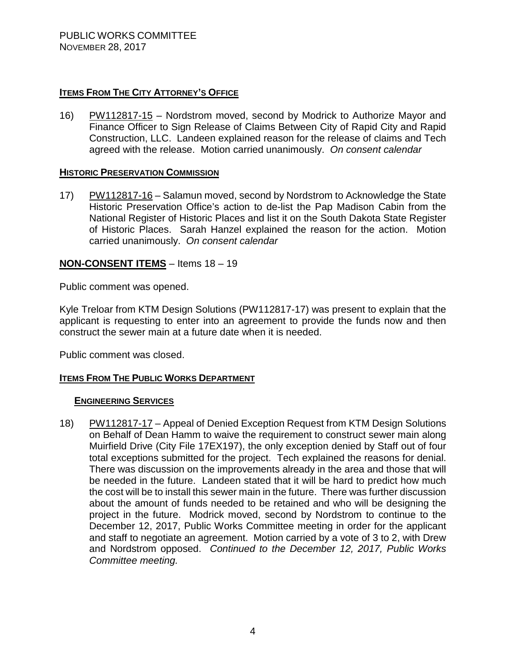### **ITEMS FROM THE CITY ATTORNEY'S OFFICE**

16) PW112817-15 – Nordstrom moved, second by Modrick to Authorize Mayor and Finance Officer to Sign Release of Claims Between City of Rapid City and Rapid Construction, LLC. Landeen explained reason for the release of claims and Tech agreed with the release. Motion carried unanimously. *On consent calendar*

#### **HISTORIC PRESERVATION COMMISSION**

17) PW112817-16 – Salamun moved, second by Nordstrom to Acknowledge the State Historic Preservation Office's action to de-list the Pap Madison Cabin from the National Register of Historic Places and list it on the South Dakota State Register of Historic Places. Sarah Hanzel explained the reason for the action. Motion carried unanimously. *On consent calendar*

# **NON-CONSENT ITEMS** – Items 18 – 19

Public comment was opened.

Kyle Treloar from KTM Design Solutions (PW112817-17) was present to explain that the applicant is requesting to enter into an agreement to provide the funds now and then construct the sewer main at a future date when it is needed.

Public comment was closed.

# **ITEMS FROM THE PUBLIC WORKS DEPARTMENT**

#### **ENGINEERING SERVICES**

18) PW112817-17 – Appeal of Denied Exception Request from KTM Design Solutions on Behalf of Dean Hamm to waive the requirement to construct sewer main along Muirfield Drive (City File 17EX197), the only exception denied by Staff out of four total exceptions submitted for the project. Tech explained the reasons for denial. There was discussion on the improvements already in the area and those that will be needed in the future. Landeen stated that it will be hard to predict how much the cost will be to install this sewer main in the future. There was further discussion about the amount of funds needed to be retained and who will be designing the project in the future. Modrick moved, second by Nordstrom to continue to the December 12, 2017, Public Works Committee meeting in order for the applicant and staff to negotiate an agreement. Motion carried by a vote of 3 to 2, with Drew and Nordstrom opposed. *Continued to the December 12, 2017, Public Works Committee meeting.*